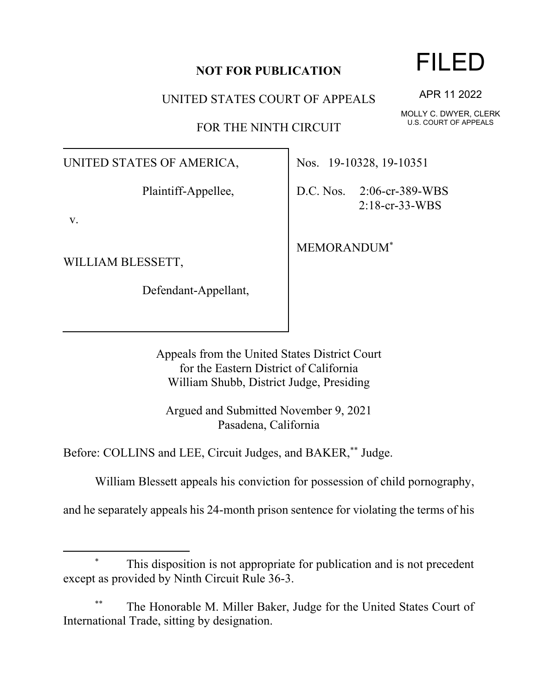## **NOT FOR PUBLICATION**

UNITED STATES COURT OF APPEALS

FOR THE NINTH CIRCUIT

UNITED STATES OF AMERICA,

Plaintiff-Appellee,

v.

WILLIAM BLESSETT,

Defendant-Appellant,

Nos. 19-10328, 19-10351

D.C. Nos. 2:06-cr-389-WBS 2:18-cr-33-WBS

MEMORANDUM\*

Appeals from the United States District Court for the Eastern District of California William Shubb, District Judge, Presiding

Argued and Submitted November 9, 2021 Pasadena, California

Before: COLLINS and LEE, Circuit Judges, and BAKER,\*\* Judge.

William Blessett appeals his conviction for possession of child pornography,

and he separately appeals his 24-month prison sentence for violating the terms of his

## This disposition is not appropriate for publication and is not precedent except as provided by Ninth Circuit Rule 36-3.

The Honorable M. Miller Baker, Judge for the United States Court of International Trade, sitting by designation.

FILED

APR 11 2022

MOLLY C. DWYER, CLERK U.S. COURT OF APPEALS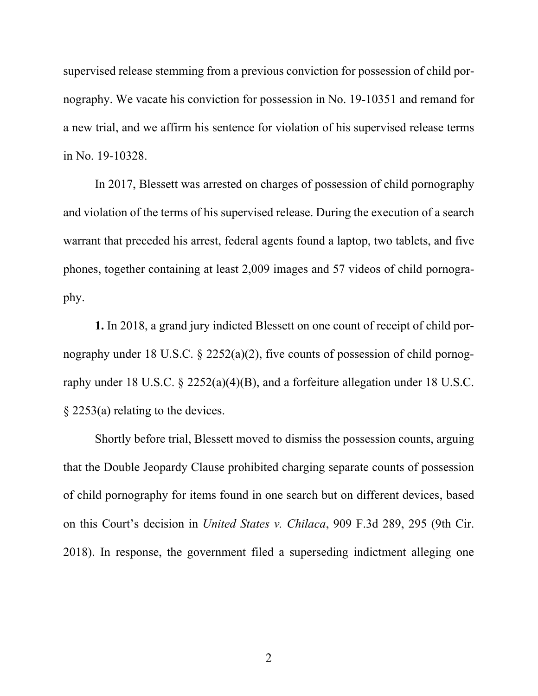supervised release stemming from a previous conviction for possession of child pornography. We vacate his conviction for possession in No. 19-10351 and remand for a new trial, and we affirm his sentence for violation of his supervised release terms in No. 19-10328.

In 2017, Blessett was arrested on charges of possession of child pornography and violation of the terms of his supervised release. During the execution of a search warrant that preceded his arrest, federal agents found a laptop, two tablets, and five phones, together containing at least 2,009 images and 57 videos of child pornography.

**1.** In 2018, a grand jury indicted Blessett on one count of receipt of child pornography under 18 U.S.C. § 2252(a)(2), five counts of possession of child pornography under 18 U.S.C. § 2252(a)(4)(B), and a forfeiture allegation under 18 U.S.C. § 2253(a) relating to the devices.

Shortly before trial, Blessett moved to dismiss the possession counts, arguing that the Double Jeopardy Clause prohibited charging separate counts of possession of child pornography for items found in one search but on different devices, based on this Court's decision in *United States v. Chilaca*, 909 F.3d 289, 295 (9th Cir. 2018). In response, the government filed a superseding indictment alleging one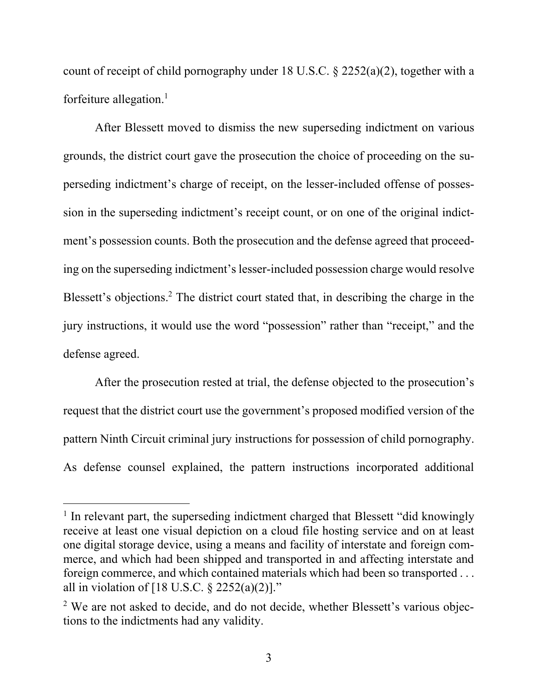count of receipt of child pornography under 18 U.S.C. § 2252(a)(2), together with a forfeiture allegation. 1

After Blessett moved to dismiss the new superseding indictment on various grounds, the district court gave the prosecution the choice of proceeding on the superseding indictment's charge of receipt, on the lesser-included offense of possession in the superseding indictment's receipt count, or on one of the original indictment's possession counts. Both the prosecution and the defense agreed that proceeding on the superseding indictment's lesser-included possession charge would resolve Blessett's objections. <sup>2</sup> The district court stated that, in describing the charge in the jury instructions, it would use the word "possession" rather than "receipt," and the defense agreed.

After the prosecution rested at trial, the defense objected to the prosecution's request that the district court use the government's proposed modified version of the pattern Ninth Circuit criminal jury instructions for possession of child pornography. As defense counsel explained, the pattern instructions incorporated additional

<sup>&</sup>lt;sup>1</sup> In relevant part, the superseding indictment charged that Blessett "did knowingly receive at least one visual depiction on a cloud file hosting service and on at least one digital storage device, using a means and facility of interstate and foreign commerce, and which had been shipped and transported in and affecting interstate and foreign commerce, and which contained materials which had been so transported . . . all in violation of  $[18 \text{ U.S.C. } § 2252(a)(2)]$ ."

<sup>&</sup>lt;sup>2</sup> We are not asked to decide, and do not decide, whether Blessett's various objections to the indictments had any validity.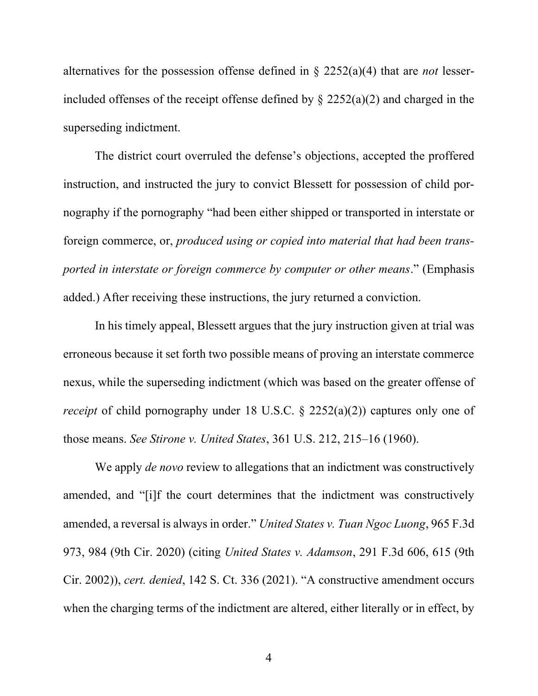alternatives for the possession offense defined in § 2252(a)(4) that are *not* lesserincluded offenses of the receipt offense defined by § 2252(a)(2) and charged in the superseding indictment.

The district court overruled the defense's objections, accepted the proffered instruction, and instructed the jury to convict Blessett for possession of child pornography if the pornography "had been either shipped or transported in interstate or foreign commerce, or, *produced using or copied into material that had been transported in interstate or foreign commerce by computer or other means*." (Emphasis added.) After receiving these instructions, the jury returned a conviction.

In his timely appeal, Blessett argues that the jury instruction given at trial was erroneous because it set forth two possible means of proving an interstate commerce nexus, while the superseding indictment (which was based on the greater offense of *receipt* of child pornography under 18 U.S.C. § 2252(a)(2)) captures only one of those means. *See Stirone v. United States*, 361 U.S. 212, 215–16 (1960).

We apply *de novo* review to allegations that an indictment was constructively amended, and "[i]f the court determines that the indictment was constructively amended, a reversal is always in order." *United States v. Tuan Ngoc Luong*, 965 F.3d 973, 984 (9th Cir. 2020) (citing *United States v. Adamson*, 291 F.3d 606, 615 (9th Cir. 2002)), *cert. denied*, 142 S. Ct. 336 (2021). "A constructive amendment occurs when the charging terms of the indictment are altered, either literally or in effect, by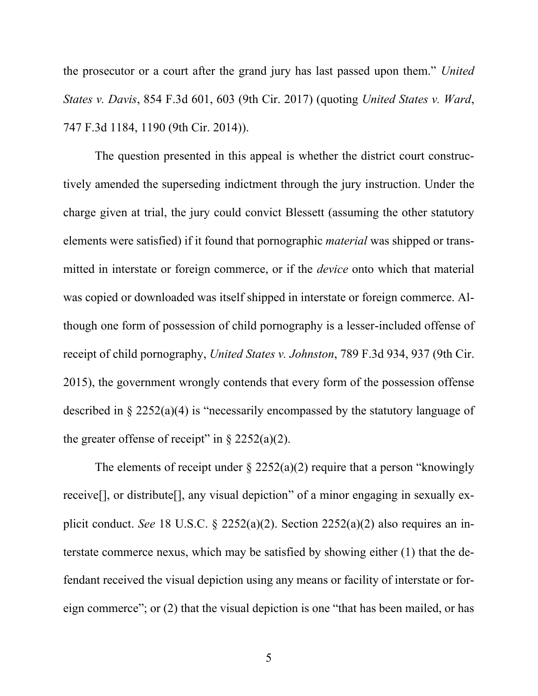the prosecutor or a court after the grand jury has last passed upon them." *United States v. Davis*, 854 F.3d 601, 603 (9th Cir. 2017) (quoting *United States v. Ward*, 747 F.3d 1184, 1190 (9th Cir. 2014)).

The question presented in this appeal is whether the district court constructively amended the superseding indictment through the jury instruction. Under the charge given at trial, the jury could convict Blessett (assuming the other statutory elements were satisfied) if it found that pornographic *material* was shipped or transmitted in interstate or foreign commerce, or if the *device* onto which that material was copied or downloaded was itself shipped in interstate or foreign commerce. Although one form of possession of child pornography is a lesser-included offense of receipt of child pornography, *United States v. Johnston*, 789 F.3d 934, 937 (9th Cir. 2015), the government wrongly contends that every form of the possession offense described in § 2252(a)(4) is "necessarily encompassed by the statutory language of the greater offense of receipt" in  $\S 2252(a)(2)$ .

The elements of receipt under  $\S$  2252(a)(2) require that a person "knowingly receive[], or distribute[], any visual depiction" of a minor engaging in sexually explicit conduct. *See* 18 U.S.C. § 2252(a)(2). Section 2252(a)(2) also requires an interstate commerce nexus, which may be satisfied by showing either (1) that the defendant received the visual depiction using any means or facility of interstate or foreign commerce"; or (2) that the visual depiction is one "that has been mailed, or has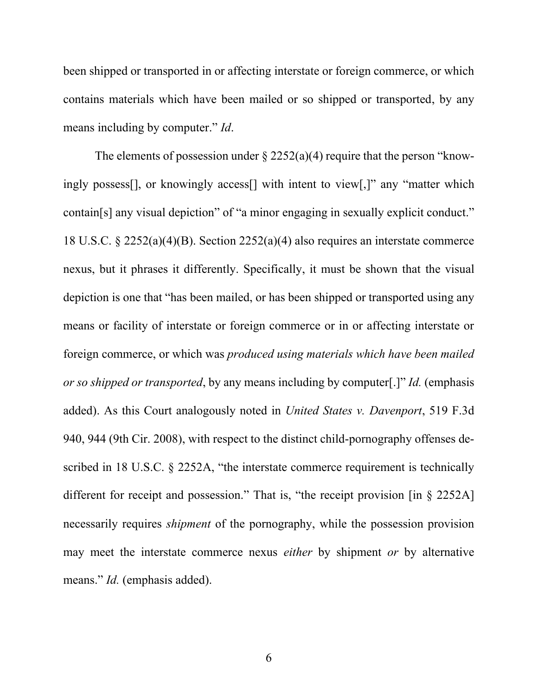been shipped or transported in or affecting interstate or foreign commerce, or which contains materials which have been mailed or so shipped or transported, by any means including by computer." *Id*.

The elements of possession under  $\S 2252(a)(4)$  require that the person "knowingly possess[], or knowingly access[] with intent to view[,]" any "matter which contain[s] any visual depiction" of "a minor engaging in sexually explicit conduct." 18 U.S.C. § 2252(a)(4)(B). Section 2252(a)(4) also requires an interstate commerce nexus, but it phrases it differently. Specifically, it must be shown that the visual depiction is one that "has been mailed, or has been shipped or transported using any means or facility of interstate or foreign commerce or in or affecting interstate or foreign commerce, or which was *produced using materials which have been mailed or so shipped or transported*, by any means including by computer[.]" *Id.* (emphasis added). As this Court analogously noted in *United States v. Davenport*, 519 F.3d 940, 944 (9th Cir. 2008), with respect to the distinct child-pornography offenses described in 18 U.S.C. § 2252A, "the interstate commerce requirement is technically different for receipt and possession." That is, "the receipt provision [in § 2252A] necessarily requires *shipment* of the pornography, while the possession provision may meet the interstate commerce nexus *either* by shipment *or* by alternative means." *Id.* (emphasis added).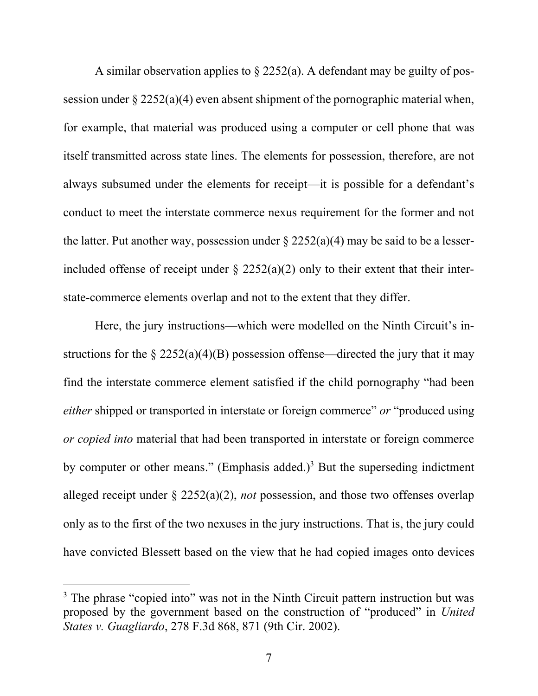A similar observation applies to  $\S$  2252(a). A defendant may be guilty of possession under  $\S 2252(a)(4)$  even absent shipment of the pornographic material when, for example, that material was produced using a computer or cell phone that was itself transmitted across state lines. The elements for possession, therefore, are not always subsumed under the elements for receipt—it is possible for a defendant's conduct to meet the interstate commerce nexus requirement for the former and not the latter. Put another way, possession under  $\S 2252(a)(4)$  may be said to be a lesserincluded offense of receipt under  $\S$  2252(a)(2) only to their extent that their interstate-commerce elements overlap and not to the extent that they differ.

Here, the jury instructions—which were modelled on the Ninth Circuit's instructions for the  $\S 2252(a)(4)(B)$  possession offense—directed the jury that it may find the interstate commerce element satisfied if the child pornography "had been *either* shipped or transported in interstate or foreign commerce" *or* "produced using *or copied into* material that had been transported in interstate or foreign commerce by computer or other means." (Emphasis added.)<sup>3</sup> But the superseding indictment alleged receipt under § 2252(a)(2), *not* possession, and those two offenses overlap only as to the first of the two nexuses in the jury instructions. That is, the jury could have convicted Blessett based on the view that he had copied images onto devices

<sup>&</sup>lt;sup>3</sup> The phrase "copied into" was not in the Ninth Circuit pattern instruction but was proposed by the government based on the construction of "produced" in *United States v. Guagliardo*, 278 F.3d 868, 871 (9th Cir. 2002).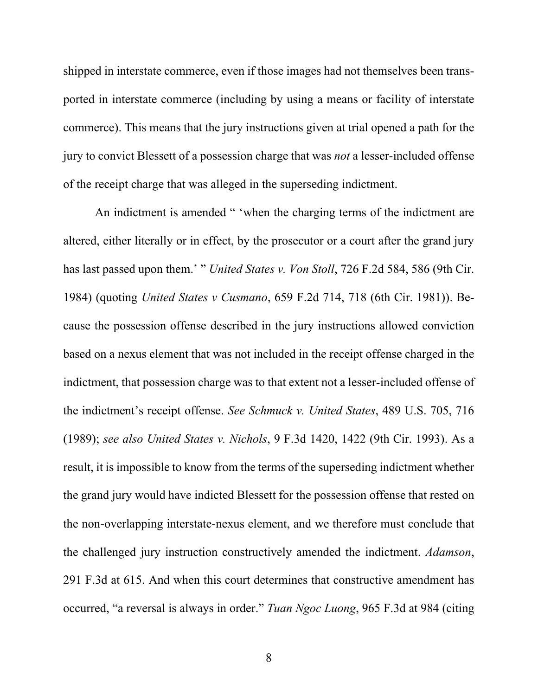shipped in interstate commerce, even if those images had not themselves been transported in interstate commerce (including by using a means or facility of interstate commerce). This means that the jury instructions given at trial opened a path for the jury to convict Blessett of a possession charge that was *not* a lesser-included offense of the receipt charge that was alleged in the superseding indictment.

An indictment is amended " 'when the charging terms of the indictment are altered, either literally or in effect, by the prosecutor or a court after the grand jury has last passed upon them.' " *United States v. Von Stoll*, 726 F.2d 584, 586 (9th Cir. 1984) (quoting *United States v Cusmano*, 659 F.2d 714, 718 (6th Cir. 1981)). Because the possession offense described in the jury instructions allowed conviction based on a nexus element that was not included in the receipt offense charged in the indictment, that possession charge was to that extent not a lesser-included offense of the indictment's receipt offense. *See Schmuck v. United States*, 489 U.S. 705, 716 (1989); *see also United States v. Nichols*, 9 F.3d 1420, 1422 (9th Cir. 1993). As a result, it is impossible to know from the terms of the superseding indictment whether the grand jury would have indicted Blessett for the possession offense that rested on the non-overlapping interstate-nexus element, and we therefore must conclude that the challenged jury instruction constructively amended the indictment. *Adamson*, 291 F.3d at 615. And when this court determines that constructive amendment has occurred, "a reversal is always in order." *Tuan Ngoc Luong*, 965 F.3d at 984 (citing